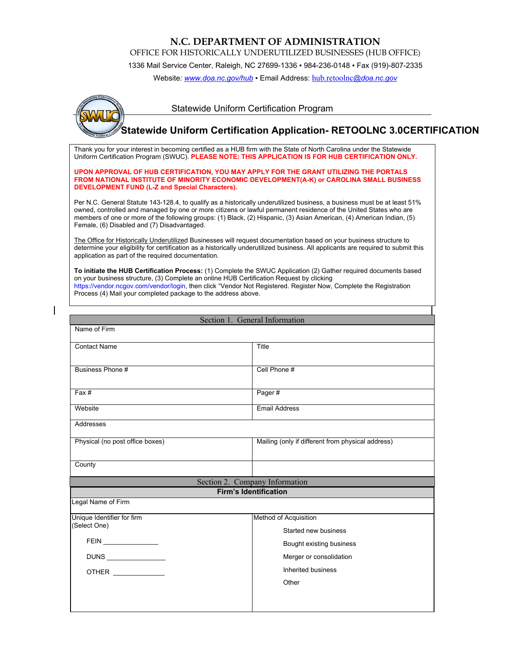## **N.C. DEPARTMENT OF ADMINISTRATION**

OFFICE FOR HISTORICALLY UNDERUTILIZED BUSINESSES (HUB OFFICE)

1336 Mail Service Center, Raleigh, NC 27699-1336 ▪ 984-236-0148 ▪ Fax (919)-807-2335

Website[: www.doa.nc.gov/hub](http://www.doa.nc.gov/hub) · Email Address: [hub.retoolnc](mailto:hub.retoolnc@doa.nc.gov)[@doa.nc.gov](mailto:hub.retoolnc@doa.nc.gov)



## Statewide Uniform Certification Program

## **Statewide Uniform Certification Application- RETOOLNC 3.0CERTIFICATION**

Thank you for your interest in becoming certified as a HUB firm with the State of North Carolina under the Statewide Uniform Certification Program (SWUC). **PLEASE NOTE: THIS APPLICATION IS FOR HUB CERTIFICATION ONLY.** 

**UPON APPROVAL OF HUB CERTIFICATION, YOU MAY APPLY FOR THE GRANT UTILIZING THE PORTALS FROM NATIONAL INSTITUTE OF MINORITY ECONOMIC DEVELOPMENT(A-K) or CAROLINA SMALL BUSINESS DEVELOPMENT FUND (L-Z and Special Characters).**

Per N.C. General Statute 143-128.4, to qualify as a historically underutilized business, a business must be at least 51% owned, controlled and managed by one or more citizens or lawful permanent residence of the United States who are members of one or more of the following groups: (1) Black, (2) Hispanic, (3) Asian American, (4) American Indian, (5) Female, (6) Disabled and (7) Disadvantaged.

[The Office for Historically Underutilized](https://vendor.ncgov.com/vendor/login) Businesses will request documentation based on your business structure to determine your eligibility for certification as a historically underutilized business. All applicants are required to submit this application as part of the required documentation.

**To initiate the HUB Certification Process:** (1) Complete the SWUC Application (2) Gather required documents based on your business structure, (3) Complete an online HUB Certification Request by clicking https://vendor.ncgov.com/vendor/login, then click "Vendor Not Registered. Register Now, Complete the Registration Process (4) Mail your completed package to the address above.

| Section 1. General Information  |                                                   |  |  |  |
|---------------------------------|---------------------------------------------------|--|--|--|
| Name of Firm                    |                                                   |  |  |  |
|                                 |                                                   |  |  |  |
| <b>Contact Name</b>             | Title                                             |  |  |  |
|                                 |                                                   |  |  |  |
| Business Phone #                | Cell Phone #                                      |  |  |  |
|                                 |                                                   |  |  |  |
| Fax#                            | Pager#                                            |  |  |  |
| Website                         | <b>Email Address</b>                              |  |  |  |
|                                 |                                                   |  |  |  |
| Addresses                       |                                                   |  |  |  |
| Physical (no post office boxes) | Mailing (only if different from physical address) |  |  |  |
|                                 |                                                   |  |  |  |
| County                          |                                                   |  |  |  |
|                                 | Section 2. Company Information                    |  |  |  |
|                                 | <b>Firm's Identification</b>                      |  |  |  |
| Legal Name of Firm              |                                                   |  |  |  |
| Unique Identifier for firm      | Method of Acquisition                             |  |  |  |
| (Select One)                    | Started new business                              |  |  |  |
| FEIN ________________           |                                                   |  |  |  |
|                                 |                                                   |  |  |  |
|                                 | Bought existing business                          |  |  |  |
|                                 | Merger or consolidation                           |  |  |  |
|                                 | Inherited business                                |  |  |  |
| OTHER _____________             | Other                                             |  |  |  |
|                                 |                                                   |  |  |  |
|                                 |                                                   |  |  |  |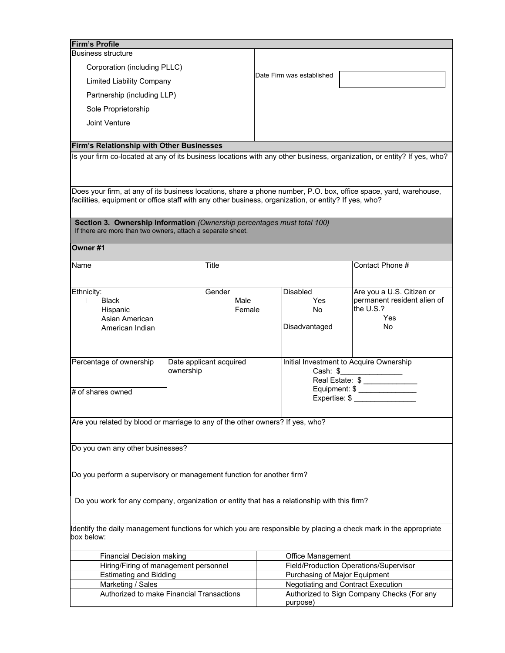| <b>Firm's Profile</b>                                                                                                                                                                                                    |           |                         |                               |                                                        |                                                                                                                         |  |
|--------------------------------------------------------------------------------------------------------------------------------------------------------------------------------------------------------------------------|-----------|-------------------------|-------------------------------|--------------------------------------------------------|-------------------------------------------------------------------------------------------------------------------------|--|
| <b>Business structure</b>                                                                                                                                                                                                |           |                         |                               |                                                        |                                                                                                                         |  |
| Corporation (including PLLC)                                                                                                                                                                                             |           |                         |                               |                                                        |                                                                                                                         |  |
| <b>Limited Liability Company</b>                                                                                                                                                                                         |           |                         |                               | Date Firm was established                              |                                                                                                                         |  |
| Partnership (including LLP)                                                                                                                                                                                              |           |                         |                               |                                                        |                                                                                                                         |  |
| Sole Proprietorship                                                                                                                                                                                                      |           |                         |                               |                                                        |                                                                                                                         |  |
| Joint Venture                                                                                                                                                                                                            |           |                         |                               |                                                        |                                                                                                                         |  |
|                                                                                                                                                                                                                          |           |                         |                               |                                                        |                                                                                                                         |  |
| Firm's Relationship with Other Businesses                                                                                                                                                                                |           |                         |                               |                                                        | Is your firm co-located at any of its business locations with any other business, organization, or entity? If yes, who? |  |
|                                                                                                                                                                                                                          |           |                         |                               |                                                        |                                                                                                                         |  |
| Does your firm, at any of its business locations, share a phone number, P.O. box, office space, yard, warehouse,<br>facilities, equipment or office staff with any other business, organization, or entity? If yes, who? |           |                         |                               |                                                        |                                                                                                                         |  |
|                                                                                                                                                                                                                          |           |                         |                               |                                                        |                                                                                                                         |  |
| Section 3. Ownership Information (Ownership percentages must total 100)<br>If there are more than two owners, attach a separate sheet.                                                                                   |           |                         |                               |                                                        |                                                                                                                         |  |
| Owner#1                                                                                                                                                                                                                  |           |                         |                               |                                                        |                                                                                                                         |  |
| Name                                                                                                                                                                                                                     |           | Title                   |                               |                                                        | Contact Phone #                                                                                                         |  |
|                                                                                                                                                                                                                          |           |                         |                               |                                                        |                                                                                                                         |  |
| Ethnicity:                                                                                                                                                                                                               |           | Gender                  |                               | Disabled                                               | Are you a U.S. Citizen or                                                                                               |  |
| <b>Black</b>                                                                                                                                                                                                             |           | Male                    |                               | Yes                                                    | permanent resident alien of                                                                                             |  |
| Hispanic                                                                                                                                                                                                                 |           | Female                  |                               | <b>No</b>                                              | the U.S.?                                                                                                               |  |
| Asian American                                                                                                                                                                                                           |           |                         |                               |                                                        | Yes                                                                                                                     |  |
| American Indian                                                                                                                                                                                                          |           |                         |                               | Disadvantaged                                          | No                                                                                                                      |  |
|                                                                                                                                                                                                                          |           |                         |                               |                                                        |                                                                                                                         |  |
|                                                                                                                                                                                                                          |           |                         |                               |                                                        |                                                                                                                         |  |
| Percentage of ownership                                                                                                                                                                                                  | ownership | Date applicant acquired |                               | Initial Investment to Acquire Ownership                |                                                                                                                         |  |
|                                                                                                                                                                                                                          |           |                         |                               | Cash: $$$<br>Real Estate: \$ _____________             |                                                                                                                         |  |
|                                                                                                                                                                                                                          |           |                         |                               |                                                        | Equipment: \$ _______________                                                                                           |  |
| # of shares owned                                                                                                                                                                                                        |           |                         |                               |                                                        | Expertise: \$                                                                                                           |  |
|                                                                                                                                                                                                                          |           |                         |                               |                                                        |                                                                                                                         |  |
| Are you related by blood or marriage to any of the other owners? If yes, who?                                                                                                                                            |           |                         |                               |                                                        |                                                                                                                         |  |
|                                                                                                                                                                                                                          |           |                         |                               |                                                        |                                                                                                                         |  |
| Do you own any other businesses?                                                                                                                                                                                         |           |                         |                               |                                                        |                                                                                                                         |  |
|                                                                                                                                                                                                                          |           |                         |                               |                                                        |                                                                                                                         |  |
| Do you perform a supervisory or management function for another firm?                                                                                                                                                    |           |                         |                               |                                                        |                                                                                                                         |  |
|                                                                                                                                                                                                                          |           |                         |                               |                                                        |                                                                                                                         |  |
| Do you work for any company, organization or entity that has a relationship with this firm?                                                                                                                              |           |                         |                               |                                                        |                                                                                                                         |  |
| Identify the daily management functions for which you are responsible by placing a check mark in the appropriate<br>box below:                                                                                           |           |                         |                               |                                                        |                                                                                                                         |  |
| <b>Financial Decision making</b><br>Office Management                                                                                                                                                                    |           |                         |                               |                                                        |                                                                                                                         |  |
| Hiring/Firing of management personnel                                                                                                                                                                                    |           |                         |                               | Field/Production Operations/Supervisor                 |                                                                                                                         |  |
| <b>Estimating and Bidding</b>                                                                                                                                                                                            |           |                         | Purchasing of Major Equipment |                                                        |                                                                                                                         |  |
| Negotiating and Contract Execution<br>Marketing / Sales                                                                                                                                                                  |           |                         |                               |                                                        |                                                                                                                         |  |
| Authorized to make Financial Transactions                                                                                                                                                                                |           |                         |                               | Authorized to Sign Company Checks (For any<br>purpose) |                                                                                                                         |  |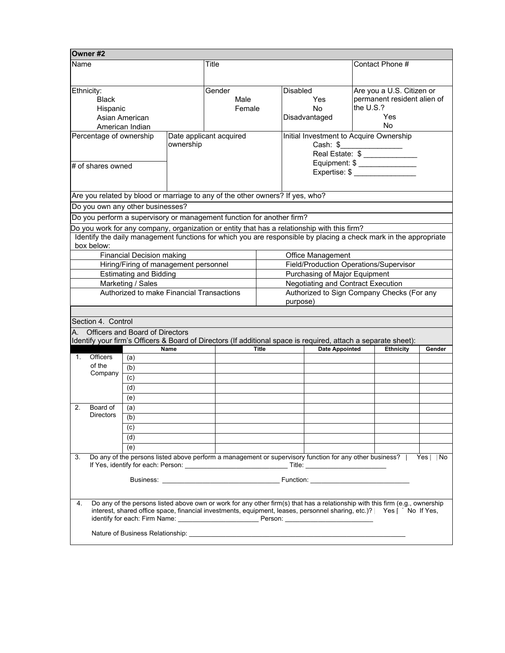| lOwner #2                                                                                                                                                                                                                           |                                                         |        |                                                                               |                               |                                                                                                                  |                                |                             |  |  |
|-------------------------------------------------------------------------------------------------------------------------------------------------------------------------------------------------------------------------------------|---------------------------------------------------------|--------|-------------------------------------------------------------------------------|-------------------------------|------------------------------------------------------------------------------------------------------------------|--------------------------------|-----------------------------|--|--|
| Name                                                                                                                                                                                                                                |                                                         | Title  |                                                                               |                               | Contact Phone #                                                                                                  |                                |                             |  |  |
|                                                                                                                                                                                                                                     |                                                         |        |                                                                               |                               |                                                                                                                  |                                |                             |  |  |
|                                                                                                                                                                                                                                     |                                                         |        |                                                                               |                               |                                                                                                                  |                                |                             |  |  |
| Ethnicity:                                                                                                                                                                                                                          |                                                         | Gender |                                                                               |                               | <b>Disabled</b>                                                                                                  |                                | Are you a U.S. Citizen or   |  |  |
| <b>Black</b>                                                                                                                                                                                                                        |                                                         | Male   |                                                                               |                               | Yes                                                                                                              |                                | permanent resident alien of |  |  |
| Hispanic                                                                                                                                                                                                                            |                                                         | Female |                                                                               |                               | No.                                                                                                              |                                | the U.S.?                   |  |  |
|                                                                                                                                                                                                                                     | Asian American                                          |        |                                                                               |                               | Disadvantaged                                                                                                    |                                | Yes                         |  |  |
|                                                                                                                                                                                                                                     | American Indian                                         |        |                                                                               |                               |                                                                                                                  | <b>No</b>                      |                             |  |  |
|                                                                                                                                                                                                                                     | Date applicant acquired<br>Percentage of ownership      |        |                                                                               |                               | Initial Investment to Acquire Ownership                                                                          |                                |                             |  |  |
|                                                                                                                                                                                                                                     | ownership                                               |        |                                                                               |                               |                                                                                                                  | Cash: \$                       |                             |  |  |
|                                                                                                                                                                                                                                     |                                                         |        |                                                                               |                               |                                                                                                                  |                                |                             |  |  |
| # of shares owned                                                                                                                                                                                                                   |                                                         |        |                                                                               |                               |                                                                                                                  | Equipment: \$ ________________ |                             |  |  |
|                                                                                                                                                                                                                                     |                                                         |        |                                                                               |                               |                                                                                                                  | Expertise: \$                  |                             |  |  |
|                                                                                                                                                                                                                                     |                                                         |        |                                                                               |                               |                                                                                                                  |                                |                             |  |  |
|                                                                                                                                                                                                                                     |                                                         |        | Are you related by blood or marriage to any of the other owners? If yes, who? |                               |                                                                                                                  |                                |                             |  |  |
| Do you own any other businesses?                                                                                                                                                                                                    |                                                         |        |                                                                               |                               |                                                                                                                  |                                |                             |  |  |
|                                                                                                                                                                                                                                     |                                                         |        | Do you perform a supervisory or management function for another firm?         |                               |                                                                                                                  |                                |                             |  |  |
|                                                                                                                                                                                                                                     |                                                         |        |                                                                               |                               | Do you work for any company, organization or entity that has a relationship with this firm?                      |                                |                             |  |  |
|                                                                                                                                                                                                                                     |                                                         |        |                                                                               |                               | Identify the daily management functions for which you are responsible by placing a check mark in the appropriate |                                |                             |  |  |
| box below:                                                                                                                                                                                                                          |                                                         |        |                                                                               |                               |                                                                                                                  |                                |                             |  |  |
|                                                                                                                                                                                                                                     | <b>Financial Decision making</b>                        |        |                                                                               |                               | <b>Office Management</b>                                                                                         |                                |                             |  |  |
|                                                                                                                                                                                                                                     | Hiring/Firing of management personnel                   |        |                                                                               |                               | Field/Production Operations/Supervisor                                                                           |                                |                             |  |  |
|                                                                                                                                                                                                                                     | <b>Estimating and Bidding</b>                           |        |                                                                               | Purchasing of Major Equipment |                                                                                                                  |                                |                             |  |  |
|                                                                                                                                                                                                                                     | Marketing / Sales<br>Negotiating and Contract Execution |        |                                                                               |                               |                                                                                                                  |                                |                             |  |  |
|                                                                                                                                                                                                                                     | Authorized to make Financial Transactions               |        |                                                                               |                               | Authorized to Sign Company Checks (For any                                                                       |                                |                             |  |  |
|                                                                                                                                                                                                                                     |                                                         |        |                                                                               | purpose)                      |                                                                                                                  |                                |                             |  |  |
|                                                                                                                                                                                                                                     |                                                         |        |                                                                               |                               |                                                                                                                  |                                |                             |  |  |
| Section 4. Control                                                                                                                                                                                                                  |                                                         |        |                                                                               |                               |                                                                                                                  |                                |                             |  |  |
| A. Officers and Board of Directors                                                                                                                                                                                                  |                                                         |        |                                                                               |                               |                                                                                                                  |                                |                             |  |  |
|                                                                                                                                                                                                                                     |                                                         |        |                                                                               |                               | Identify your firm's Officers & Board of Directors (If additional space is required, attach a separate sheet):   |                                |                             |  |  |
| <b>Date Appointed</b><br><b>Ethnicity</b><br><b>Name</b><br>Title<br>Gender                                                                                                                                                         |                                                         |        |                                                                               |                               |                                                                                                                  |                                |                             |  |  |
| <b>Officers</b><br>1.                                                                                                                                                                                                               | (a)                                                     |        |                                                                               |                               |                                                                                                                  |                                |                             |  |  |
| of the                                                                                                                                                                                                                              | (b)                                                     |        |                                                                               |                               |                                                                                                                  |                                |                             |  |  |
| Company                                                                                                                                                                                                                             | (c)                                                     |        |                                                                               |                               |                                                                                                                  |                                |                             |  |  |
|                                                                                                                                                                                                                                     | (d)                                                     |        |                                                                               |                               |                                                                                                                  |                                |                             |  |  |
|                                                                                                                                                                                                                                     | (e)                                                     |        |                                                                               |                               |                                                                                                                  |                                |                             |  |  |
| Board of<br>2.                                                                                                                                                                                                                      | (a)                                                     |        |                                                                               |                               |                                                                                                                  |                                |                             |  |  |
| <b>Directors</b>                                                                                                                                                                                                                    | (b)                                                     |        |                                                                               |                               |                                                                                                                  |                                |                             |  |  |
|                                                                                                                                                                                                                                     | (c)                                                     |        |                                                                               |                               |                                                                                                                  |                                |                             |  |  |
|                                                                                                                                                                                                                                     | (d)                                                     |        |                                                                               |                               |                                                                                                                  |                                |                             |  |  |
|                                                                                                                                                                                                                                     |                                                         |        |                                                                               |                               |                                                                                                                  |                                |                             |  |  |
|                                                                                                                                                                                                                                     | (e)                                                     |        |                                                                               |                               |                                                                                                                  |                                |                             |  |  |
| Do any of the persons listed above perform a management or supervisory function for any other business?   Yes<br>3.<br>l No                                                                                                         |                                                         |        |                                                                               |                               |                                                                                                                  |                                |                             |  |  |
| Business: <u>Communication</u> Function: Communication: Communication: Communication: Communication: Communication: Communication: Communication: Communication: Communication: Communication: Communication: Communication: Commun |                                                         |        |                                                                               |                               |                                                                                                                  |                                |                             |  |  |
|                                                                                                                                                                                                                                     |                                                         |        |                                                                               |                               |                                                                                                                  |                                |                             |  |  |
|                                                                                                                                                                                                                                     |                                                         |        |                                                                               |                               |                                                                                                                  |                                |                             |  |  |
| Do any of the persons listed above own or work for any other firm(s) that has a relationship with this firm (e.g., ownership<br>4.                                                                                                  |                                                         |        |                                                                               |                               |                                                                                                                  |                                |                             |  |  |
| interest, shared office space, financial investments, equipment, leases, personnel sharing, etc.)? Yes [ No If Yes,                                                                                                                 |                                                         |        |                                                                               |                               |                                                                                                                  |                                |                             |  |  |
|                                                                                                                                                                                                                                     |                                                         |        |                                                                               |                               |                                                                                                                  |                                |                             |  |  |
|                                                                                                                                                                                                                                     |                                                         |        |                                                                               |                               |                                                                                                                  |                                |                             |  |  |
|                                                                                                                                                                                                                                     |                                                         |        |                                                                               |                               |                                                                                                                  |                                |                             |  |  |

 $\overline{a}$